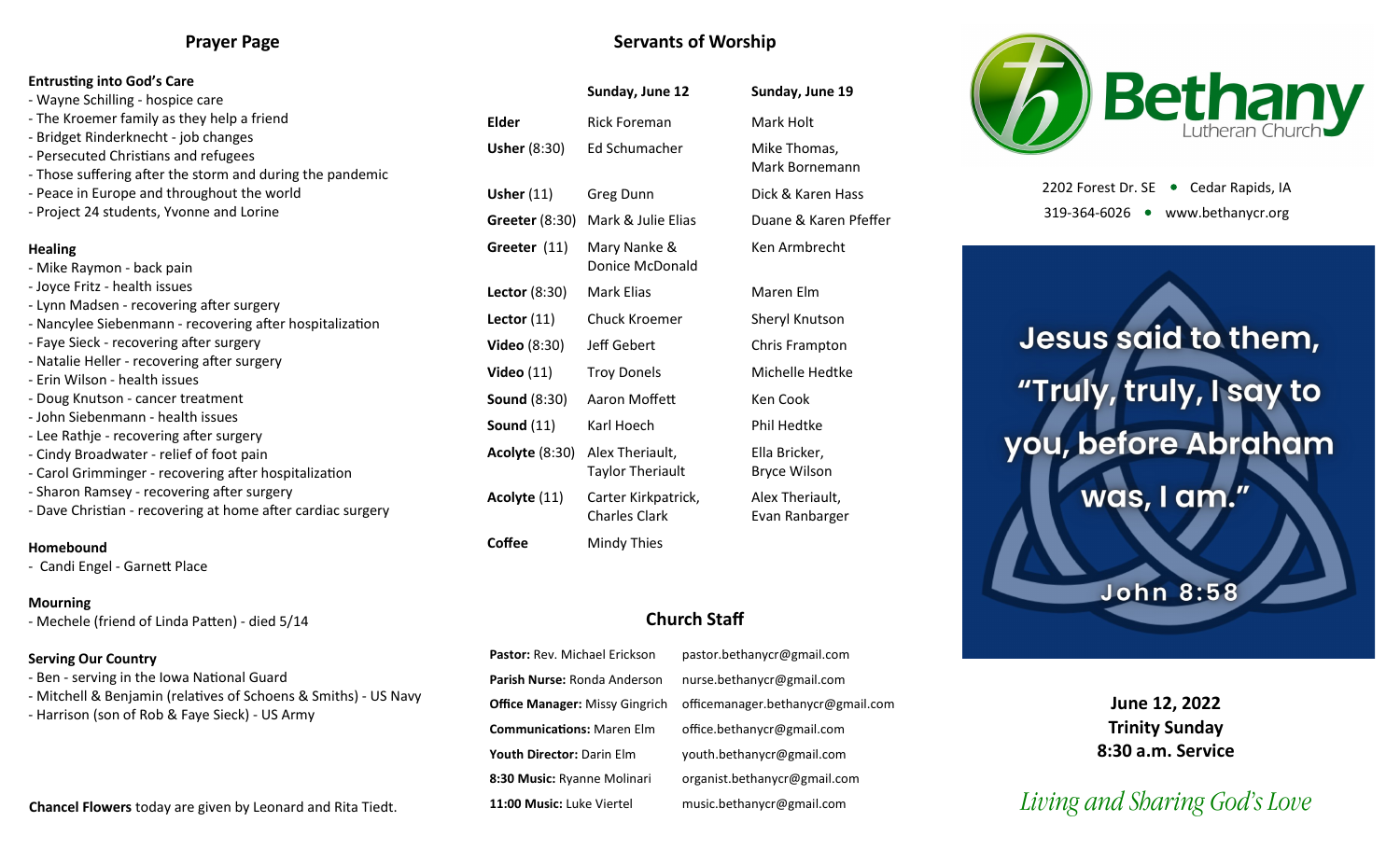### **Prayer Page**

#### **Entrusting into God's Care**

- Wayne Schilling hospice care
- The Kroemer family as they help a friend
- Bridget Rinderknecht job changes
- Persecuted Christians and refugees
- Those suffering after the storm and during the pandemic
- Peace in Europe and throughout the world
- Project 24 students, Yvonne and Lorine

#### **Healing**

- Mike Raymon back pain - Joyce Fritz - health issues - Lynn Madsen - recovering after surgery
- Nancylee Siebenmann recovering after hospitalization
- Faye Sieck recovering after surgery
- Natalie Heller recovering after surgery
- Erin Wilson health issues
- Doug Knutson cancer treatment
- John Siebenmann health issues
- Lee Rathje recovering after surgery
- Cindy Broadwater relief of foot pain
- Carol Grimminger recovering after hospitalization
- Sharon Ramsey recovering after surgery
- Dave Christian recovering at home after cardiac surgery

#### **Homebound**

- Candi Engel - Garnett Place

#### **Mourning**

- Mechele (friend of Linda Patten) - died 5/14

#### **Serving Our Country**

- Ben serving in the Iowa National Guard
- Mitchell & Benjamin (relatives of Schoens & Smiths) US Navy
- Harrison (son of Rob & Faye Sieck) US Army

#### **Chancel Flowers** today are given by Leonard and Rita Tiedt.

| <b>Servants of Worship</b> |  |  |
|----------------------------|--|--|
|----------------------------|--|--|

|                       | Sunday, June 12                             | Sunday, June 19                      |  |  |
|-----------------------|---------------------------------------------|--------------------------------------|--|--|
| Elder                 | <b>Rick Foreman</b>                         | Mark Holt                            |  |  |
| <b>Usher (8:30)</b>   | Ed Schumacher                               | Mike Thomas,<br>Mark Bornemann       |  |  |
| Usher $(11)$          | Greg Dunn                                   | Dick & Karen Hass                    |  |  |
| <b>Greeter</b> (8:30) | Mark & Julie Elias                          | Duane & Karen Pfeffer                |  |  |
| Greeter (11)          | Mary Nanke &<br>Donice McDonald             | Ken Armbrecht                        |  |  |
| Lector (8:30)         | <b>Mark Elias</b>                           | Maren Elm                            |  |  |
| Lector $(11)$         | <b>Chuck Kroemer</b>                        | Sheryl Knutson                       |  |  |
| <b>Video</b> (8:30)   | Jeff Gebert                                 | Chris Frampton                       |  |  |
| <b>Video</b> (11)     | <b>Troy Donels</b>                          | Michelle Hedtke                      |  |  |
| Sound (8:30)          | Aaron Moffett                               | Ken Cook                             |  |  |
| <b>Sound</b> (11)     | Karl Hoech                                  | Phil Hedtke                          |  |  |
| <b>Acolyte</b> (8:30) | Alex Theriault,<br><b>Taylor Theriault</b>  | Ella Bricker,<br><b>Bryce Wilson</b> |  |  |
| Acolyte (11)          | Carter Kirkpatrick,<br><b>Charles Clark</b> | Alex Theriault,<br>Evan Ranbarger    |  |  |
| Coffee                | Mindy Thies                                 |                                      |  |  |

## **Church Staff**

**Pastor:** Rev. Michael Erickson pastor.bethanycr@gmail.com **Parish Nurse:** Ronda Anderson nurse.bethanycr@gmail.com **Office Manager:** Missy Gingrich officemanager.bethanycr@gmail.com **Communications:** Maren Elm office.bethanycr@gmail.com **Youth Director:** Darin Elm youth.bethanycr@gmail.com **8:30 Music:** Ryanne Molinari organist.bethanycr@gmail.com **11:00 Music:** Luke Viertel music.bethanycr@gmail.com



2202 Forest Dr. SE ● Cedar Rapids, IA 319-364-6026 www.bethanycr.org

Jesus said to them, "Truly, truly, I say to you, before Abraham was, I am." **John 8:58** 

> **June 12, 2022 Trinity Sunday 8:30 a.m. Service**

# *Living and Sharing God's Love*